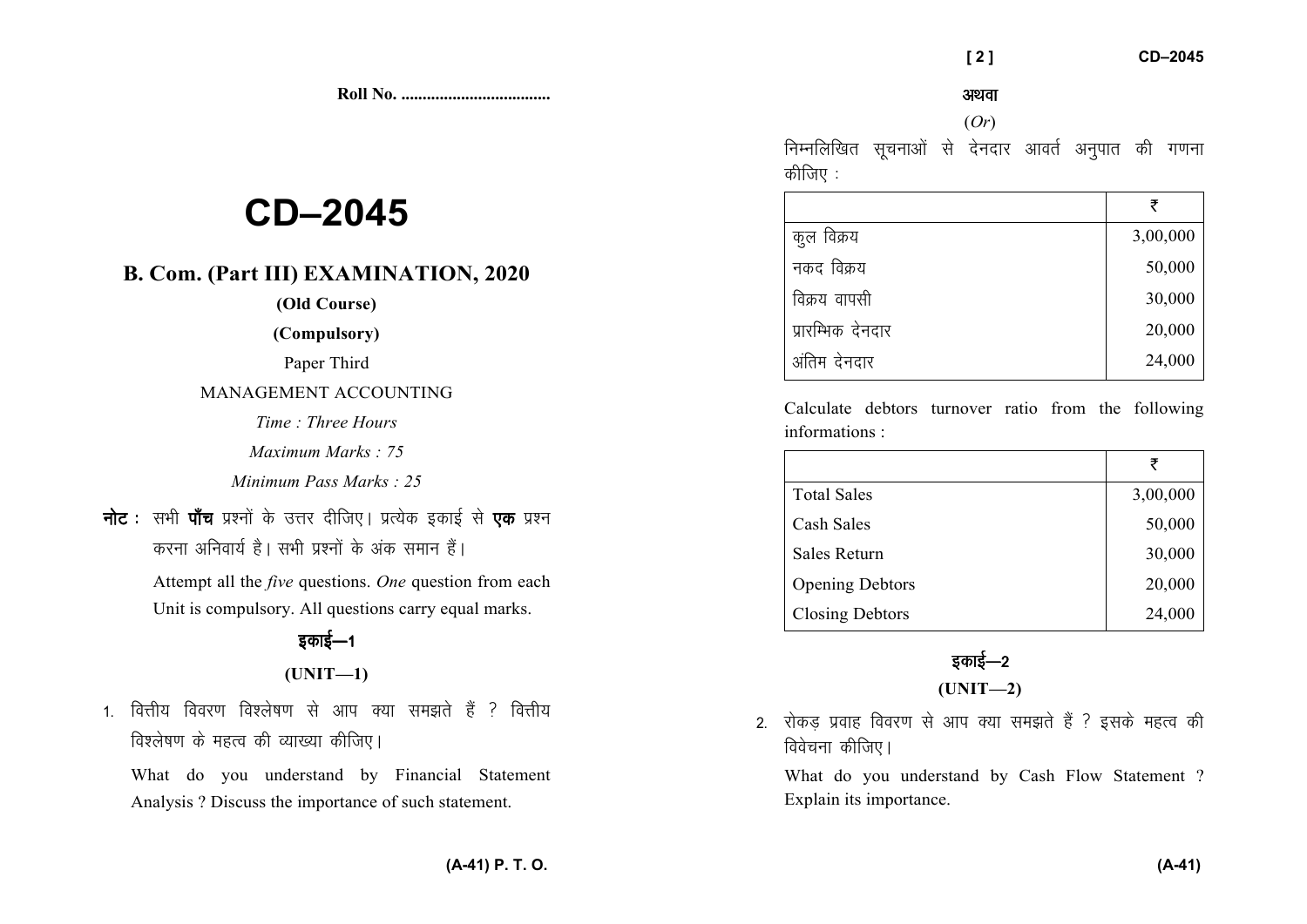**Roll No. ...................................** 

# **CD–2045**

# **B. Com. (Part III) EXAMINATION, 2020**

### **(Old Course)**

**(Compulsory)** 

Paper Third

MANAGEMENT ACCOUNTING

*Time : Three Hours* 

*Maximum Marks : 75* 

*Minimum Pass Marks : 25*

**नोट** : सभी **पाँच** प्रश्नों के उत्तर दीजिए। प्रत्येक इकाई से **एक** प्रश्न *djuk vfuok;Z gSA lHkh iz'uksa d¢ vad leku gSaA* 

> Attempt all the *five* questions. *One* question from each Unit is compulsory. All questions carry equal marks.

## *bdkbZ*&*<sup>1</sup>*

### **(UNIT—1)**

1 वित्तीय विवरण विश्लेषण से आप क्या समझते हैं <sup>2</sup> वित्तीय *f*dश्लेषण के महत्व की व्याख्या कीजिए।

What do you understand by Financial Statement Analysis ? Discuss the importance of such statement.

अथवा

#### (*Or*)

*fuEufyf[kr lwpukvksa ls nsunkj vkorZ vuqikr dh x.kuk कीजिए :* 

|                   | ₹        |
|-------------------|----------|
| कुल विक्रय        | 3,00,000 |
| नकद विक्रय        | 50,000   |
| विक्रय वापसी      | 30,000   |
| प्रारम्भिक देनदार | 20,000   |
| अंतिम देनदार      | 24,000   |

Calculate debtors turnover ratio from the followinginformations :

|                        | ₹        |
|------------------------|----------|
| <b>Total Sales</b>     | 3,00,000 |
| Cash Sales             | 50,000   |
| Sales Return           | 30,000   |
| <b>Opening Debtors</b> | 20,000   |
| <b>Closing Debtors</b> | 24,000   |

# *z*काई—2 **(UNIT—2)**

2. रोकड प्रवाह विवरण से आप क्या समझते हैं ? इसके महत्व की *f*dवेचना कीजिए।

What do you understand by Cash Flow Statement ? Explain its importance.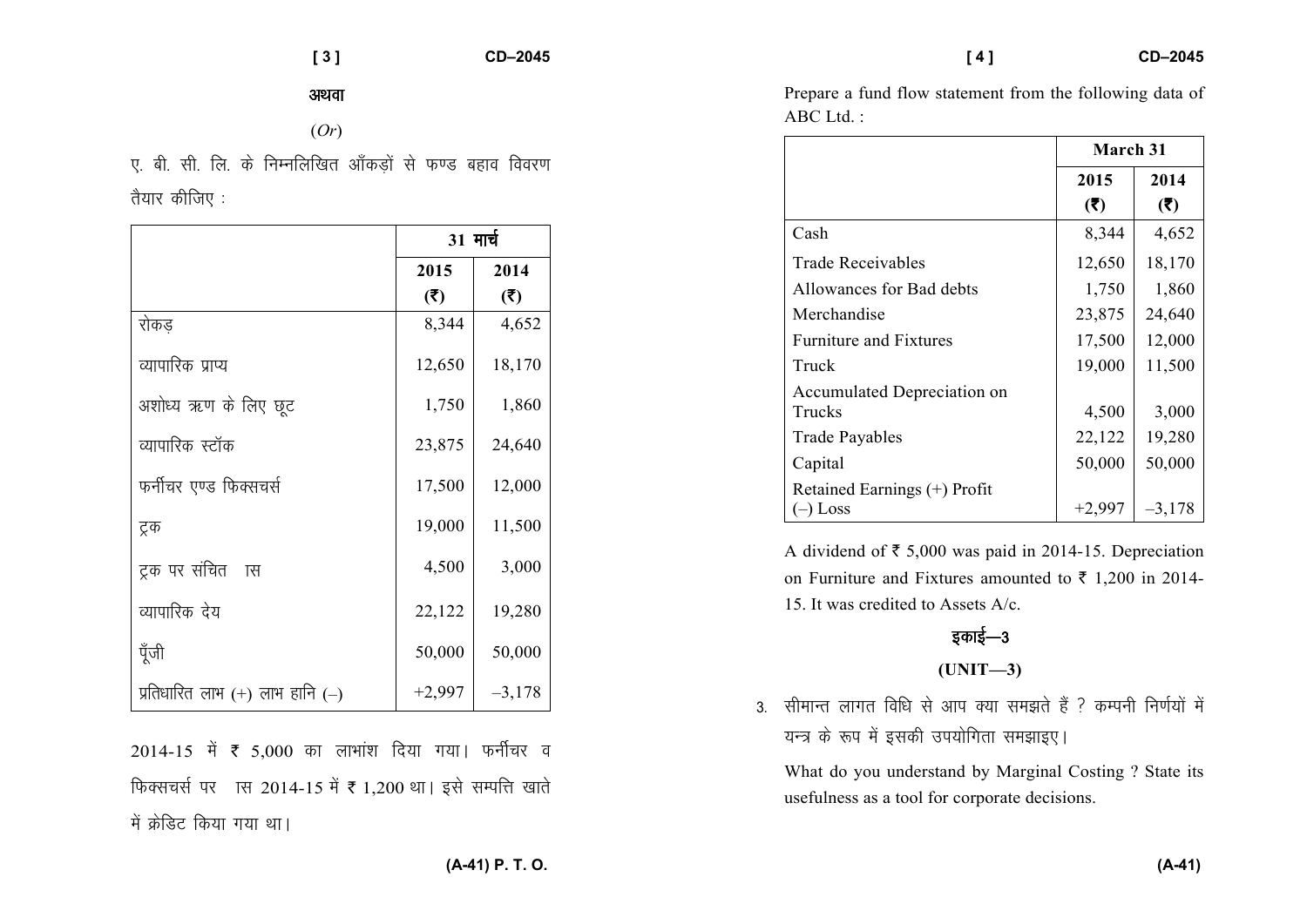अथवा

(*Or*)

*,- ch- lh- fy- ds fuEufyf[kr vk¡dM+ksa ls Q.M cgko fooj.k* तैयार कीजिए :

|                                     | 31 मार्च |          |
|-------------------------------------|----------|----------|
|                                     | 2015     | 2014     |
|                                     | (5)      | (3)      |
| रोकड                                | 8,344    | 4,652    |
| व्यापारिक प्राप्य                   | 12,650   | 18,170   |
| अशोध्य ऋण के लिए छूट                | 1,750    | 1,860    |
| व्यापारिक स्टॉक                     | 23,875   | 24,640   |
| फर्नीचर एण्ड फिक्सचर्स              | 17,500   | 12,000   |
| ट्रक                                | 19,000   | 11,500   |
| ट्रक पर संचित<br>ास                 | 4,500    | 3,000    |
| व्यापारिक देय                       | 22,122   | 19,280   |
| पूँजी                               | 50,000   | 50,000   |
| प्रतिधारित लाभ $(+)$ लाभ हानि $(-)$ | $+2,997$ | $-3,178$ |

2014-15 में ₹ 5,000 का लाभांश दिया गया। फर्नीचर व *फिक्सचर्स पर ास 2014-15 में ₹ 1,200 था। इसे सम्पत्ति खाते* में क्रेडिट किया गया था।

Prepare a fund flow statement from the following data of  $ABC$  Ltd.  $\cdot$ 

|                                            | March 31 |          |
|--------------------------------------------|----------|----------|
|                                            | 2015     | 2014     |
|                                            | (5)      | (5)      |
| Cash                                       | 8,344    | 4,652    |
| <b>Trade Receivables</b>                   | 12,650   | 18,170   |
| Allowances for Bad debts                   | 1,750    | 1,860    |
| Merchandise                                | 23,875   | 24,640   |
| <b>Furniture and Fixtures</b>              | 17,500   | 12,000   |
| Truck                                      | 19,000   | 11,500   |
| Accumulated Depreciation on<br>Trucks      | 4,500    | 3,000    |
| <b>Trade Payables</b>                      | 22,122   | 19,280   |
| Capital                                    | 50,000   | 50,000   |
| Retained Earnings (+) Profit<br>$(-)$ Loss | $+2,997$ | $-3,178$ |

A dividend of  $\bar{\tau}$  5,000 was paid in 2014-15. Depreciation on Furniture and Fixtures amounted to  $\bar{\tau}$  1,200 in 2014-15. It was credited to Assets A/c.

# *bdkbZ*&*<sup>3</sup>*

$$
(UNIT-3)
$$

3. सीमान्त लागत विधि से आप क्या समझते हैं ? कम्पनी निर्णयों में यन्त्र के रूप में इसकी उपयोगिता समझाइए।

What do you understand by Marginal Costing ? State its usefulness as a tool for corporate decisions.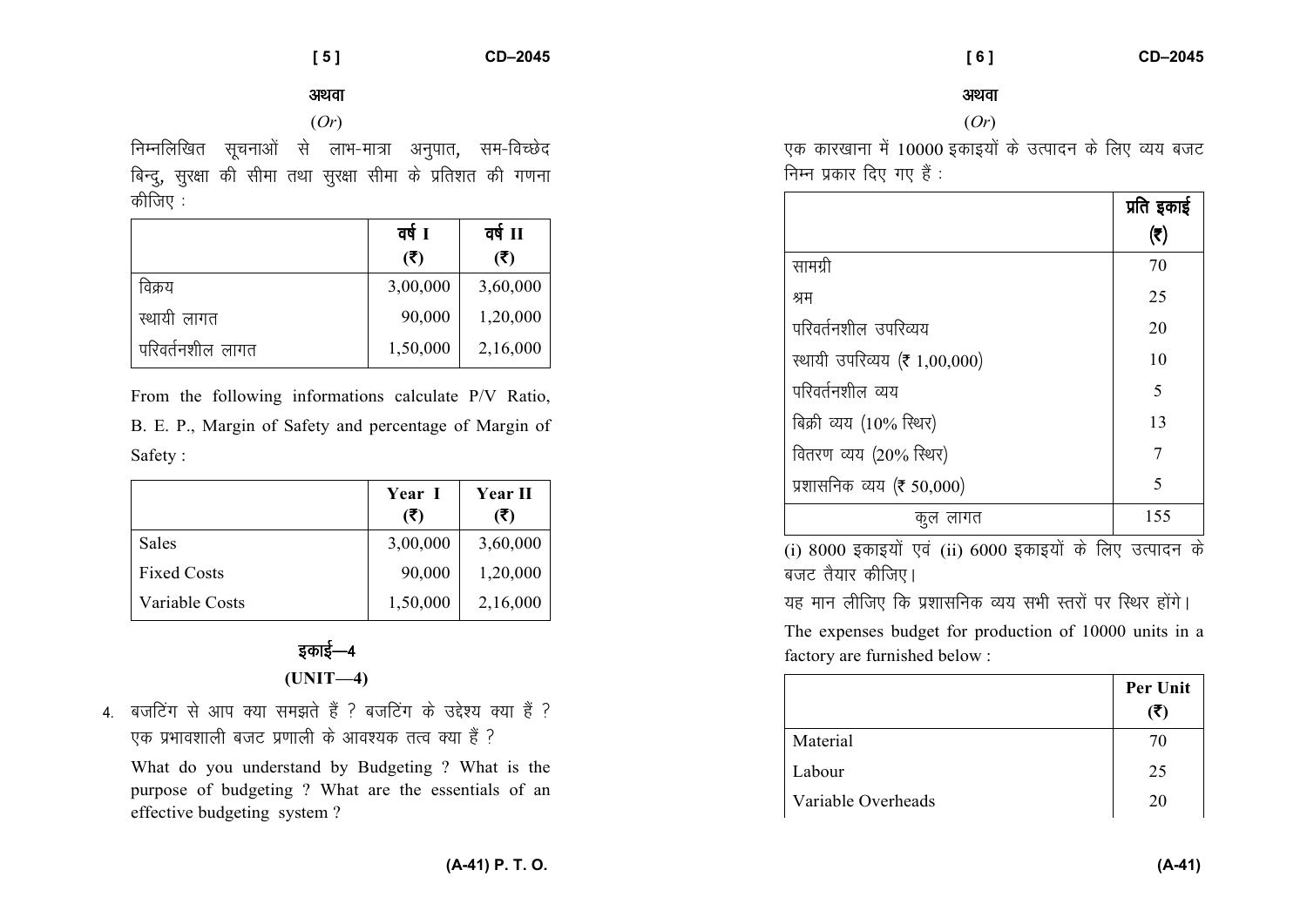### *vFkok*

(*Or*)

*fuEufyf[kr lwpukvksa ls ykHk*&*ek=k vuqikr*] *le*&*foPNsn* बिन्दु, सुरक्षा की सीमा तथा सुरक्षा सीमा के प्रतिशत की गणना *कीजिए* :

|                  | वर्ष 1   | वर्ष $\Pi$ |
|------------------|----------|------------|
|                  | (5)      | (5)        |
| विक्रय           | 3,00,000 | 3,60,000   |
| स्थायी लागत      | 90,000   | 1,20,000   |
| परिवर्तनशील लागत | 1,50,000 | 2,16,000   |

From the following informations calculate P/V Ratio, B. E. P., Margin of Safety and percentage of Margin of Safety :

|                    | Year I<br>(5) | <b>Year II</b><br>(5) |
|--------------------|---------------|-----------------------|
| Sales              | 3,00,000      | 3,60,000              |
| <b>Fixed Costs</b> | 90,000        | 1,20,000              |
| Variable Costs     | 1,50,000      | 2,16,000              |

# *bdkbZ*&*<sup>4</sup>***(UNIT—4)**

4. बजटिंग से आप क्या समझते हैं ? बजटिंग के उद्देश्य क्या हैं ? एक प्रभावशाली बजट प्रणाली के आवश्यक तत्व क्या हैं ?

What do you understand by Budgeting ? What is the purpose of budgeting ? What are the essentials of an effective budgeting system ?

#### अथवा

### (*Or*)

*,d dkj[kkuk eas* 10000 *bdkb;ksa ds mRiknu ds fy, O;; ctV* **निम्न प्रकार दिए गए हैं** :

|                                     | प्रति इकाई |
|-------------------------------------|------------|
|                                     | (₹)        |
| सामग्री                             | 70         |
| श्रम                                | 25         |
| परिवर्तनशील उपरिव्यय                | 20         |
| स्थायी उपरिव्यय (₹ 1,00,000)        | 10         |
| परिवर्तनशील व्यय                    | 5          |
| बिक्री व्यय $(10\% \text{ R}^{2}x)$ | 13         |
| वितरण व्यय (20% स्थिर)              | 7          |
| प्रशासनिक व्यय (₹ 50,000)           | 5          |
| लागत<br>ণ প্ৰ                       | 155        |

(i) 8000 *bdkb;ksa ,oa* (ii) 6000 *bdkb;kas ds fy, mRiknu ds* **बजट तैयार कीजिए।** 

यह मान लीजिए कि प्रशासनिक व्यय सभी स्तरों पर स्थिर होंगे।

The expenses budget for production of 10000 units in a factory are furnished below :

|                    | Per Unit |
|--------------------|----------|
|                    | (₹)      |
| Material           | 70       |
| Labour             | 25       |
| Variable Overheads | 20       |